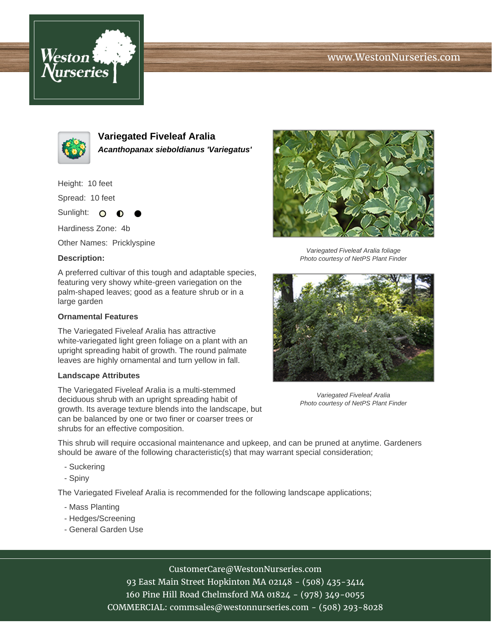# www.WestonNurseries.com





**Variegated Fiveleaf Aralia Acanthopanax sieboldianus 'Variegatus'**

Height: 10 feet

Spread: 10 feet

Sunlight: O  $\bullet$ 

Hardiness Zone: 4b

Other Names: Pricklyspine

### **Description:**

A preferred cultivar of this tough and adaptable species, featuring very showy white-green variegation on the palm-shaped leaves; good as a feature shrub or in a large garden

#### **Ornamental Features**

The Variegated Fiveleaf Aralia has attractive white-variegated light green foliage on a plant with an upright spreading habit of growth. The round palmate leaves are highly ornamental and turn yellow in fall.

#### **Landscape Attributes**

The Variegated Fiveleaf Aralia is a multi-stemmed deciduous shrub with an upright spreading habit of growth. Its average texture blends into the landscape, but can be balanced by one or two finer or coarser trees or shrubs for an effective composition.



Variegated Fiveleaf Aralia foliage Photo courtesy of NetPS Plant Finder



Variegated Fiveleaf Aralia Photo courtesy of NetPS Plant Finder

This shrub will require occasional maintenance and upkeep, and can be pruned at anytime. Gardeners should be aware of the following characteristic(s) that may warrant special consideration;

- Suckering
- Spiny

The Variegated Fiveleaf Aralia is recommended for the following landscape applications;

- Mass Planting
- Hedges/Screening
- General Garden Use

# CustomerCare@WestonNurseries.com

93 East Main Street Hopkinton MA 02148 - (508) 435-3414 160 Pine Hill Road Chelmsford MA 01824 - (978) 349-0055 COMMERCIAL: commsales@westonnurseries.com - (508) 293-8028